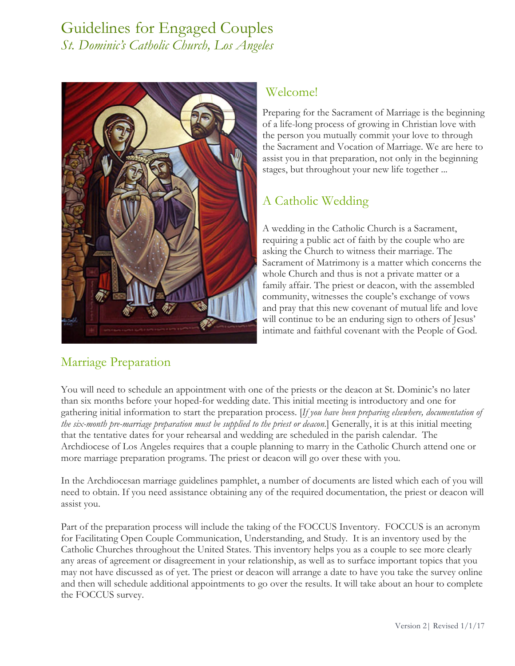# Guidelines for Engaged Couples *St. Dominic's Catholic Church, Los Angeles*



## Welcome!

Preparing for the Sacrament of Marriage is the beginning of a life-long process of growing in Christian love with the person you mutually commit your love to through the Sacrament and Vocation of Marriage. We are here to assist you in that preparation, not only in the beginning stages, but throughout your new life together ...

## A Catholic Wedding

A wedding in the Catholic Church is a Sacrament, requiring a public act of faith by the couple who are asking the Church to witness their marriage. The Sacrament of Matrimony is a matter which concerns the whole Church and thus is not a private matter or a family affair. The priest or deacon, with the assembled community, witnesses the couple's exchange of vows and pray that this new covenant of mutual life and love will continue to be an enduring sign to others of Jesus' intimate and faithful covenant with the People of God.

## Marriage Preparation

You will need to schedule an appointment with one of the priests or the deacon at St. Dominic's no later than six months before your hoped-for wedding date. This initial meeting is introductory and one for gathering initial information to start the preparation process. [*If you have been preparing elsewhere, documentation of the six-month pre-marriage preparation must be supplied to the priest or deacon*.] Generally, it is at this initial meeting that the tentative dates for your rehearsal and wedding are scheduled in the parish calendar. The Archdiocese of Los Angeles requires that a couple planning to marry in the Catholic Church attend one or more marriage preparation programs. The priest or deacon will go over these with you.

In the Archdiocesan marriage guidelines pamphlet, a number of documents are listed which each of you will need to obtain. If you need assistance obtaining any of the required documentation, the priest or deacon will assist you.

Part of the preparation process will include the taking of the FOCCUS Inventory. FOCCUS is an acronym for Facilitating Open Couple Communication, Understanding, and Study. It is an inventory used by the Catholic Churches throughout the United States. This inventory helps you as a couple to see more clearly any areas of agreement or disagreement in your relationship, as well as to surface important topics that you may not have discussed as of yet. The priest or deacon will arrange a date to have you take the survey online and then will schedule additional appointments to go over the results. It will take about an hour to complete the FOCCUS survey.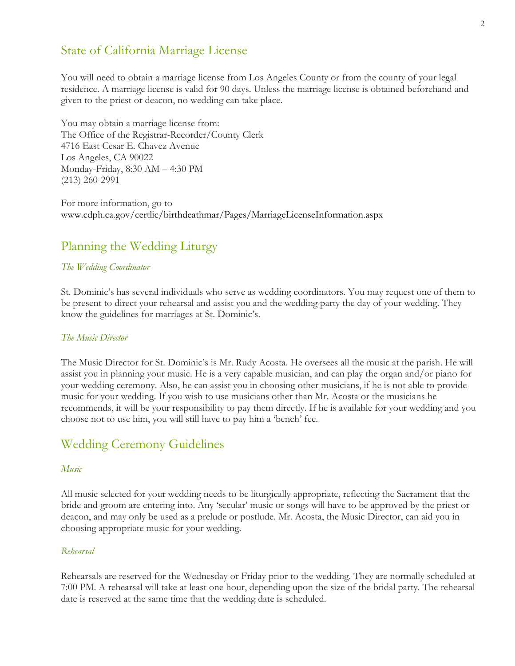### State of California Marriage License

You will need to obtain a marriage license from Los Angeles County or from the county of your legal residence. A marriage license is valid for 90 days. Unless the marriage license is obtained beforehand and given to the priest or deacon, no wedding can take place.

You may obtain a marriage license from: The Office of the Registrar-Recorder/County Clerk 4716 East Cesar E. Chavez Avenue Los Angeles, CA 90022 Monday-Friday, 8:30 AM – 4:30 PM (213) 260-2991

For more information, go to www.cdph.ca.gov/certlic/birthdeathmar/Pages/MarriageLicenseInformation.aspx

## Planning the Wedding Liturgy

#### *The Wedding Coordinator*

St. Dominic's has several individuals who serve as wedding coordinators. You may request one of them to be present to direct your rehearsal and assist you and the wedding party the day of your wedding. They know the guidelines for marriages at St. Dominic's.

#### *The Music Director*

The Music Director for St. Dominic's is Mr. Rudy Acosta. He oversees all the music at the parish. He will assist you in planning your music. He is a very capable musician, and can play the organ and/or piano for your wedding ceremony. Also, he can assist you in choosing other musicians, if he is not able to provide music for your wedding. If you wish to use musicians other than Mr. Acosta or the musicians he recommends, it will be your responsibility to pay them directly. If he is available for your wedding and you choose not to use him, you will still have to pay him a 'bench' fee.

### Wedding Ceremony Guidelines

#### *Music*

All music selected for your wedding needs to be liturgically appropriate, reflecting the Sacrament that the bride and groom are entering into. Any 'secular' music or songs will have to be approved by the priest or deacon, and may only be used as a prelude or postlude. Mr. Acosta, the Music Director, can aid you in choosing appropriate music for your wedding.

#### *Rehearsal*

Rehearsals are reserved for the Wednesday or Friday prior to the wedding. They are normally scheduled at 7:00 PM. A rehearsal will take at least one hour, depending upon the size of the bridal party. The rehearsal date is reserved at the same time that the wedding date is scheduled.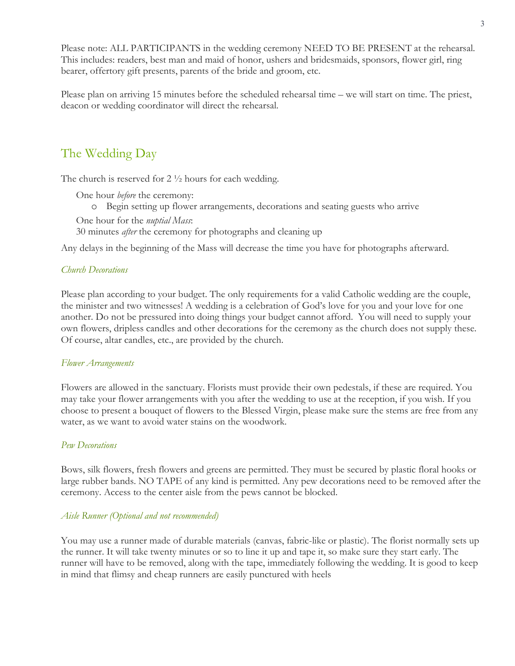Please note: ALL PARTICIPANTS in the wedding ceremony NEED TO BE PRESENT at the rehearsal. This includes: readers, best man and maid of honor, ushers and bridesmaids, sponsors, flower girl, ring bearer, offertory gift presents, parents of the bride and groom, etc.

Please plan on arriving 15 minutes before the scheduled rehearsal time – we will start on time. The priest, deacon or wedding coordinator will direct the rehearsal.

## The Wedding Day

The church is reserved for  $2 \frac{1}{2}$  hours for each wedding.

One hour *before* the ceremony:

o Begin setting up flower arrangements, decorations and seating guests who arrive

One hour for the *nuptial Mass*: 30 minutes *after* the ceremony for photographs and cleaning up

Any delays in the beginning of the Mass will decrease the time you have for photographs afterward.

#### *Church Decorations*

Please plan according to your budget. The only requirements for a valid Catholic wedding are the couple, the minister and two witnesses! A wedding is a celebration of God's love for you and your love for one another. Do not be pressured into doing things your budget cannot afford. You will need to supply your own flowers, dripless candles and other decorations for the ceremony as the church does not supply these. Of course, altar candles, etc., are provided by the church.

#### *Flower Arrangements*

Flowers are allowed in the sanctuary. Florists must provide their own pedestals, if these are required. You may take your flower arrangements with you after the wedding to use at the reception, if you wish. If you choose to present a bouquet of flowers to the Blessed Virgin, please make sure the stems are free from any water, as we want to avoid water stains on the woodwork.

#### *Pew Decorations*

Bows, silk flowers, fresh flowers and greens are permitted. They must be secured by plastic floral hooks or large rubber bands. NO TAPE of any kind is permitted. Any pew decorations need to be removed after the ceremony. Access to the center aisle from the pews cannot be blocked.

#### *Aisle Runner (Optional and not recommended)*

You may use a runner made of durable materials (canvas, fabric-like or plastic). The florist normally sets up the runner. It will take twenty minutes or so to line it up and tape it, so make sure they start early. The runner will have to be removed, along with the tape, immediately following the wedding. It is good to keep in mind that flimsy and cheap runners are easily punctured with heels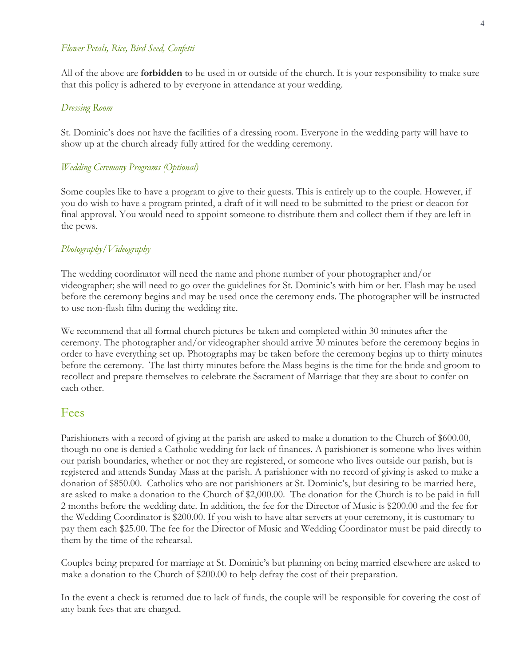#### *Flower Petals, Rice, Bird Seed, Confetti*

All of the above are **forbidden** to be used in or outside of the church. It is your responsibility to make sure that this policy is adhered to by everyone in attendance at your wedding.

#### *Dressing Room*

St. Dominic's does not have the facilities of a dressing room. Everyone in the wedding party will have to show up at the church already fully attired for the wedding ceremony.

#### *Wedding Ceremony Programs (Optional)*

Some couples like to have a program to give to their guests. This is entirely up to the couple. However, if you do wish to have a program printed, a draft of it will need to be submitted to the priest or deacon for final approval. You would need to appoint someone to distribute them and collect them if they are left in the pews.

#### *Photography/Videography*

The wedding coordinator will need the name and phone number of your photographer and/or videographer; she will need to go over the guidelines for St. Dominic's with him or her. Flash may be used before the ceremony begins and may be used once the ceremony ends. The photographer will be instructed to use non-flash film during the wedding rite.

We recommend that all formal church pictures be taken and completed within 30 minutes after the ceremony. The photographer and/or videographer should arrive 30 minutes before the ceremony begins in order to have everything set up. Photographs may be taken before the ceremony begins up to thirty minutes before the ceremony. The last thirty minutes before the Mass begins is the time for the bride and groom to recollect and prepare themselves to celebrate the Sacrament of Marriage that they are about to confer on each other.

### Fees

Parishioners with a record of giving at the parish are asked to make a donation to the Church of \$600.00, though no one is denied a Catholic wedding for lack of finances. A parishioner is someone who lives within our parish boundaries, whether or not they are registered, or someone who lives outside our parish, but is registered and attends Sunday Mass at the parish. A parishioner with no record of giving is asked to make a donation of \$850.00. Catholics who are not parishioners at St. Dominic's, but desiring to be married here, are asked to make a donation to the Church of \$2,000.00. The donation for the Church is to be paid in full 2 months before the wedding date. In addition, the fee for the Director of Music is \$200.00 and the fee for the Wedding Coordinator is \$200.00. If you wish to have altar servers at your ceremony, it is customary to pay them each \$25.00. The fee for the Director of Music and Wedding Coordinator must be paid directly to them by the time of the rehearsal.

Couples being prepared for marriage at St. Dominic's but planning on being married elsewhere are asked to make a donation to the Church of \$200.00 to help defray the cost of their preparation.

In the event a check is returned due to lack of funds, the couple will be responsible for covering the cost of any bank fees that are charged.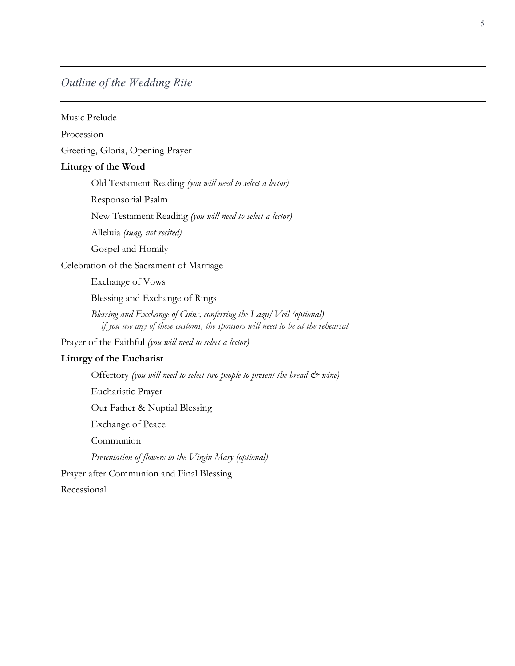### *Outline of the Wedding Rite*

Music Prelude Procession Greeting, Gloria, Opening Prayer **Liturgy of the Word** Old Testament Reading *(you will need to select a lector)* Responsorial Psalm New Testament Reading *(you will need to select a lector)* Alleluia *(sung, not recited)* Gospel and Homily Celebration of the Sacrament of Marriage Exchange of Vows Blessing and Exchange of Rings *Blessing and Exchange of Coins, conferring the Lazo/Veil (optional) if you use any of these customs, the sponsors will need to be at the rehearsal* Prayer of the Faithful *(you will need to select a lector)* **Liturgy of the Eucharist** Offertory *(you will need to select two people to present the bread*  $\mathcal{O}^*$  *wine*) Eucharistic Prayer Our Father & Nuptial Blessing Exchange of Peace Communion *Presentation of flowers to the Virgin Mary (optional)* Prayer after Communion and Final Blessing Recessional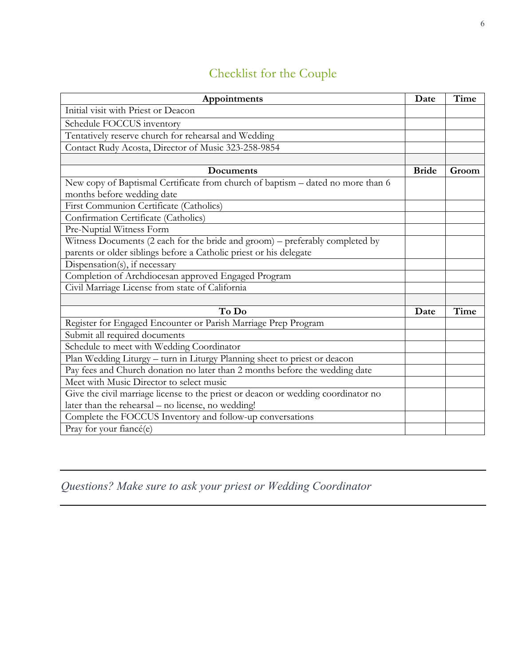# Checklist for the Couple

| Appointments                                                                                                                                       | Date         | Time  |
|----------------------------------------------------------------------------------------------------------------------------------------------------|--------------|-------|
| Initial visit with Priest or Deacon                                                                                                                |              |       |
| Schedule FOCCUS inventory                                                                                                                          |              |       |
| Tentatively reserve church for rehearsal and Wedding                                                                                               |              |       |
| Contact Rudy Acosta, Director of Music 323-258-9854                                                                                                |              |       |
|                                                                                                                                                    |              |       |
| Documents                                                                                                                                          | <b>Bride</b> | Groom |
| New copy of Baptismal Certificate from church of baptism - dated no more than 6<br>months before wedding date                                      |              |       |
| First Communion Certificate (Catholics)                                                                                                            |              |       |
| Confirmation Certificate (Catholics)                                                                                                               |              |       |
| Pre-Nuptial Witness Form                                                                                                                           |              |       |
| Witness Documents (2 each for the bride and groom) – preferably completed by<br>parents or older siblings before a Catholic priest or his delegate |              |       |
| Dispensation(s), if necessary                                                                                                                      |              |       |
| Completion of Archdiocesan approved Engaged Program                                                                                                |              |       |
| Civil Marriage License from state of California                                                                                                    |              |       |
|                                                                                                                                                    |              |       |
| To Do                                                                                                                                              | Date         | Time  |
| Register for Engaged Encounter or Parish Marriage Prep Program                                                                                     |              |       |
| Submit all required documents                                                                                                                      |              |       |
| Schedule to meet with Wedding Coordinator                                                                                                          |              |       |
| Plan Wedding Liturgy - turn in Liturgy Planning sheet to priest or deacon                                                                          |              |       |
| Pay fees and Church donation no later than 2 months before the wedding date                                                                        |              |       |
| Meet with Music Director to select music                                                                                                           |              |       |
| Give the civil marriage license to the priest or deacon or wedding coordinator no                                                                  |              |       |
| later than the rehearsal - no license, no wedding!                                                                                                 |              |       |
| Complete the FOCCUS Inventory and follow-up conversations                                                                                          |              |       |
| Pray for your fiancé(e)                                                                                                                            |              |       |

*Questions? Make sure to ask your priest or Wedding Coordinator*